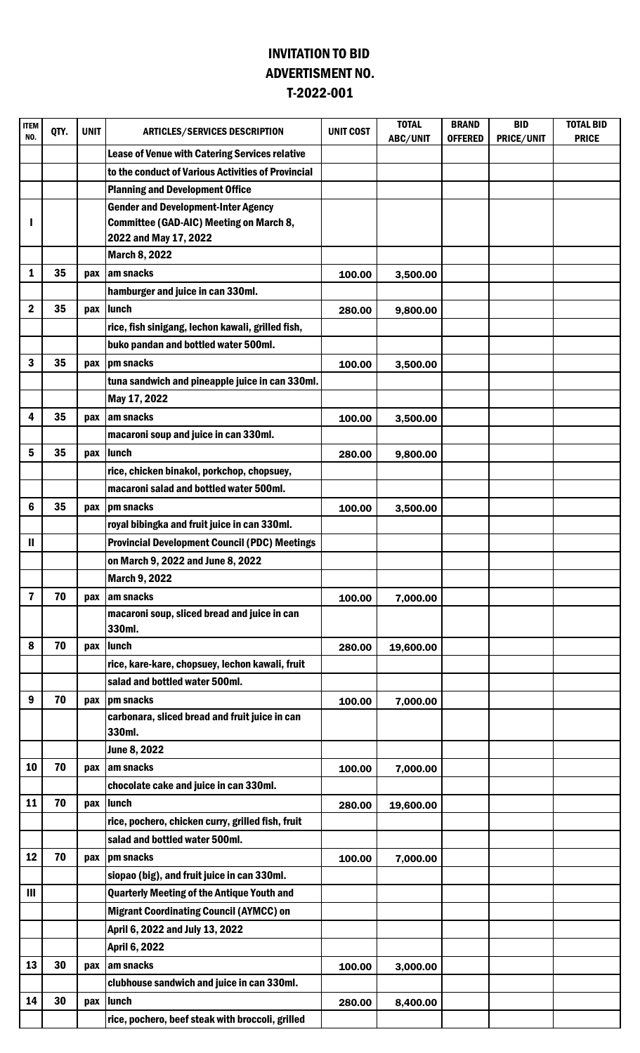## INVITATION TO BID T-2022-001 ADVERTISMENT NO.

| <b>ITEM</b><br>NO. | QTY. | UNIT | <b>ARTICLES/SERVICES DESCRIPTION</b>                   | <b>UNIT COST</b> | <b>TOTAL</b><br>ABC/UNIT | <b>BRAND</b><br><b>OFFERED</b> | <b>BID</b><br>PRICE/UNIT | <b>TOTAL BID</b><br><b>PRICE</b> |
|--------------------|------|------|--------------------------------------------------------|------------------|--------------------------|--------------------------------|--------------------------|----------------------------------|
|                    |      |      | Lease of Venue with Catering Services relative         |                  |                          |                                |                          |                                  |
|                    |      |      | to the conduct of Various Activities of Provincial     |                  |                          |                                |                          |                                  |
|                    |      |      | <b>Planning and Development Office</b>                 |                  |                          |                                |                          |                                  |
|                    |      |      | <b>Gender and Development-Inter Agency</b>             |                  |                          |                                |                          |                                  |
|                    |      |      | Committee (GAD-AIC) Meeting on March 8,                |                  |                          |                                |                          |                                  |
|                    |      |      | 2022 and May 17, 2022                                  |                  |                          |                                |                          |                                  |
|                    |      |      | <b>March 8, 2022</b>                                   |                  |                          |                                |                          |                                  |
| 1                  | 35   | pax  | am snacks                                              | 100.00           | 3,500.00                 |                                |                          |                                  |
|                    |      |      | hamburger and juice in can 330ml.                      |                  |                          |                                |                          |                                  |
| $\boldsymbol{2}$   | 35   | pax  | lunch                                                  | 280.00           | 9,800.00                 |                                |                          |                                  |
|                    |      |      | rice, fish sinigang, lechon kawali, grilled fish,      |                  |                          |                                |                          |                                  |
|                    |      |      | buko pandan and bottled water 500ml.                   |                  |                          |                                |                          |                                  |
| 3                  | 35   | pax  | pm snacks                                              | 100.00           | 3,500.00                 |                                |                          |                                  |
|                    |      |      | tuna sandwich and pineapple juice in can 330ml.        |                  |                          |                                |                          |                                  |
|                    |      |      | May 17, 2022                                           |                  |                          |                                |                          |                                  |
| 4                  | 35   | pax  | am snacks                                              | 100.00           | 3,500.00                 |                                |                          |                                  |
|                    |      |      | macaroni soup and juice in can 330ml.                  |                  |                          |                                |                          |                                  |
| 5                  | 35   | pax  | lunch                                                  | 280.00           | 9,800.00                 |                                |                          |                                  |
|                    |      |      | rice, chicken binakol, porkchop, chopsuey,             |                  |                          |                                |                          |                                  |
|                    |      |      | macaroni salad and bottled water 500ml.                |                  |                          |                                |                          |                                  |
| 6                  | 35   | pax  | pm snacks                                              | 100.00           | 3,500.00                 |                                |                          |                                  |
|                    |      |      | royal bibingka and fruit juice in can 330ml.           |                  |                          |                                |                          |                                  |
| Ш                  |      |      | <b>Provincial Development Council (PDC) Meetings</b>   |                  |                          |                                |                          |                                  |
|                    |      |      | on March 9, 2022 and June 8, 2022                      |                  |                          |                                |                          |                                  |
|                    |      |      | <b>March 9, 2022</b>                                   |                  |                          |                                |                          |                                  |
| $\overline{7}$     | 70   | pax  | am snacks                                              | 100.00           | 7,000.00                 |                                |                          |                                  |
|                    |      |      | macaroni soup, sliced bread and juice in can<br>330ml. |                  |                          |                                |                          |                                  |
| 8                  | 70   | pax  | lunch                                                  | 280.00           | 19,600.00                |                                |                          |                                  |
|                    |      |      | rice, kare-kare, chopsuey, lechon kawali, fruit        |                  |                          |                                |                          |                                  |
|                    |      |      | salad and bottled water 500ml.                         |                  |                          |                                |                          |                                  |
| 9                  | 70   | pax  | pm snacks                                              | 100.00           | 7,000.00                 |                                |                          |                                  |
|                    |      |      | carbonara, sliced bread and fruit juice in can         |                  |                          |                                |                          |                                  |
|                    |      |      | 330ml.                                                 |                  |                          |                                |                          |                                  |
|                    |      |      | June 8, 2022                                           |                  |                          |                                |                          |                                  |
| 10                 | 70   | pax  | am snacks                                              | 100.00           | 7,000.00                 |                                |                          |                                  |
|                    |      |      | chocolate cake and juice in can 330ml.                 |                  |                          |                                |                          |                                  |
| 11                 | 70   | pax  | lunch                                                  | 280.00           | 19,600.00                |                                |                          |                                  |
|                    |      |      | rice, pochero, chicken curry, grilled fish, fruit      |                  |                          |                                |                          |                                  |
|                    |      |      | salad and bottled water 500ml.                         |                  |                          |                                |                          |                                  |
| 12                 | 70   | pax  | pm snacks                                              | 100.00           | 7,000.00                 |                                |                          |                                  |
|                    |      |      | siopao (big), and fruit juice in can 330ml.            |                  |                          |                                |                          |                                  |
| Ш                  |      |      | <b>Quarterly Meeting of the Antique Youth and</b>      |                  |                          |                                |                          |                                  |
|                    |      |      | <b>Migrant Coordinating Council (AYMCC) on</b>         |                  |                          |                                |                          |                                  |
|                    |      |      | April 6, 2022 and July 13, 2022                        |                  |                          |                                |                          |                                  |
|                    |      |      | April 6, 2022                                          |                  |                          |                                |                          |                                  |
| 13                 | 30   | pax  | am snacks                                              | 100.00           | 3,000.00                 |                                |                          |                                  |
|                    |      |      | clubhouse sandwich and juice in can 330ml.             |                  |                          |                                |                          |                                  |
| 14                 | 30   | pax  | lunch                                                  | 280.00           | 8,400.00                 |                                |                          |                                  |
|                    |      |      | rice, pochero, beef steak with broccoli, grilled       |                  |                          |                                |                          |                                  |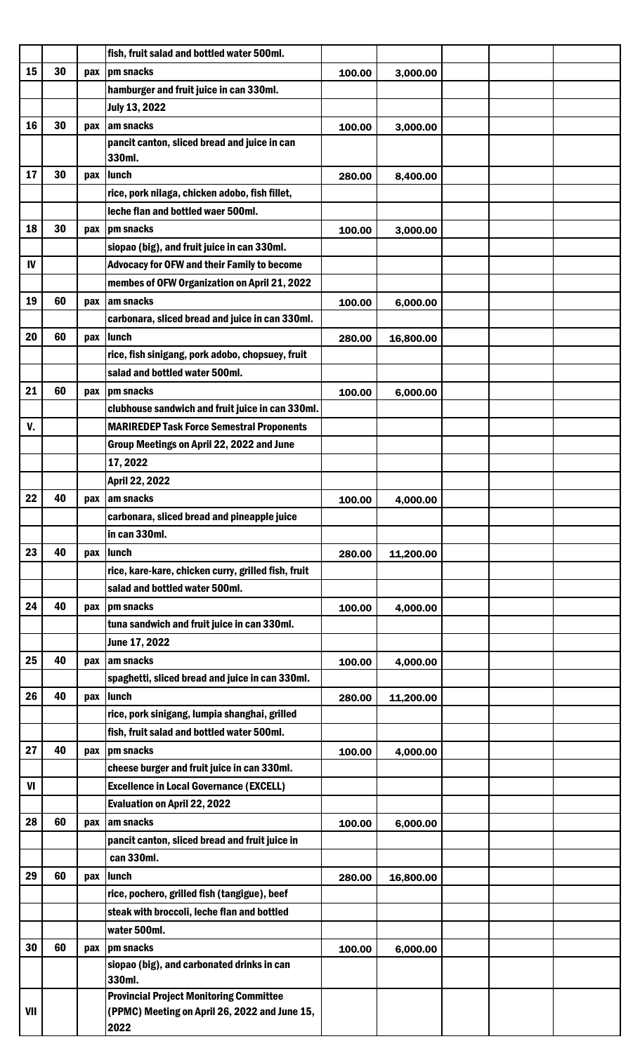|     |    |     | fish, fruit salad and bottled water 500ml.            |        |           |  |  |
|-----|----|-----|-------------------------------------------------------|--------|-----------|--|--|
| 15  | 30 | pax | pm snacks                                             | 100.00 | 3,000.00  |  |  |
|     |    |     | hamburger and fruit juice in can 330ml.               |        |           |  |  |
|     |    |     | <b>July 13, 2022</b>                                  |        |           |  |  |
| 16  | 30 | pax | am snacks                                             | 100.00 | 3,000.00  |  |  |
|     |    |     | pancit canton, sliced bread and juice in can          |        |           |  |  |
|     |    |     | 330ml.                                                |        |           |  |  |
| 17  | 30 | pax | lunch                                                 | 280.00 | 8,400.00  |  |  |
|     |    |     | rice, pork nilaga, chicken adobo, fish fillet,        |        |           |  |  |
|     |    |     | leche flan and bottled waer 500ml.                    |        |           |  |  |
| 18  | 30 | pax | pm snacks                                             | 100.00 | 3,000.00  |  |  |
|     |    |     | siopao (big), and fruit juice in can 330ml.           |        |           |  |  |
| IV  |    |     | <b>Advocacy for OFW and their Family to become</b>    |        |           |  |  |
|     |    |     | membes of OFW Organization on April 21, 2022          |        |           |  |  |
| 19  | 60 | pax | am snacks                                             | 100.00 | 6,000.00  |  |  |
|     |    |     | carbonara, sliced bread and juice in can 330ml.       |        |           |  |  |
| 20  | 60 | pax | lunch                                                 | 280.00 | 16,800.00 |  |  |
|     |    |     | rice, fish sinigang, pork adobo, chopsuey, fruit      |        |           |  |  |
|     |    |     | salad and bottled water 500ml.                        |        |           |  |  |
| 21  | 60 | pax | pm snacks                                             | 100.00 | 6,000.00  |  |  |
|     |    |     | clubhouse sandwich and fruit juice in can 330ml.      |        |           |  |  |
| V.  |    |     | <b>MARIREDEP Task Force Semestral Proponents</b>      |        |           |  |  |
|     |    |     | Group Meetings on April 22, 2022 and June             |        |           |  |  |
|     |    |     | 17, 2022                                              |        |           |  |  |
| 22  | 40 |     | April 22, 2022<br>am snacks                           |        |           |  |  |
|     |    | pax | carbonara, sliced bread and pineapple juice           | 100.00 | 4,000.00  |  |  |
|     |    |     | in can 330ml.                                         |        |           |  |  |
| 23  | 40 | pax | lunch                                                 | 280.00 | 11,200.00 |  |  |
|     |    |     | rice, kare-kare, chicken curry, grilled fish, fruit   |        |           |  |  |
|     |    |     | salad and bottled water 500ml.                        |        |           |  |  |
| 24  | 40 | pax | pm snacks                                             | 100.00 | 4,000.00  |  |  |
|     |    |     | tuna sandwich and fruit juice in can 330ml.           |        |           |  |  |
|     |    |     | June 17, 2022                                         |        |           |  |  |
| 25  | 40 | pax | am snacks                                             | 100.00 | 4,000.00  |  |  |
|     |    |     | spaghetti, sliced bread and juice in can 330ml.       |        |           |  |  |
| 26  | 40 | pax | lunch                                                 | 280.00 | 11,200.00 |  |  |
|     |    |     | rice, pork sinigang, lumpia shanghai, grilled         |        |           |  |  |
|     |    |     | fish, fruit salad and bottled water 500ml.            |        |           |  |  |
| 27  | 40 | pax | pm snacks                                             | 100.00 | 4,000.00  |  |  |
|     |    |     | cheese burger and fruit juice in can 330ml.           |        |           |  |  |
| VI  |    |     | <b>Excellence in Local Governance (EXCELL)</b>        |        |           |  |  |
|     |    |     | <b>Evaluation on April 22, 2022</b>                   |        |           |  |  |
| 28  | 60 | pax | am snacks                                             | 100.00 | 6,000.00  |  |  |
|     |    |     | pancit canton, sliced bread and fruit juice in        |        |           |  |  |
|     |    |     | can 330ml.                                            |        |           |  |  |
| 29  | 60 | pax | lunch                                                 | 280.00 | 16,800.00 |  |  |
|     |    |     | rice, pochero, grilled fish (tangigue), beef          |        |           |  |  |
|     |    |     | steak with broccoli, leche flan and bottled           |        |           |  |  |
|     |    |     | water 500ml.                                          |        |           |  |  |
| 30  | 60 | pax | pm snacks                                             | 100.00 | 6,000.00  |  |  |
|     |    |     | siopao (big), and carbonated drinks in can<br>330ml.  |        |           |  |  |
|     |    |     | <b>Provincial Project Monitoring Committee</b>        |        |           |  |  |
| VII |    |     | (PPMC) Meeting on April 26, 2022 and June 15,<br>2022 |        |           |  |  |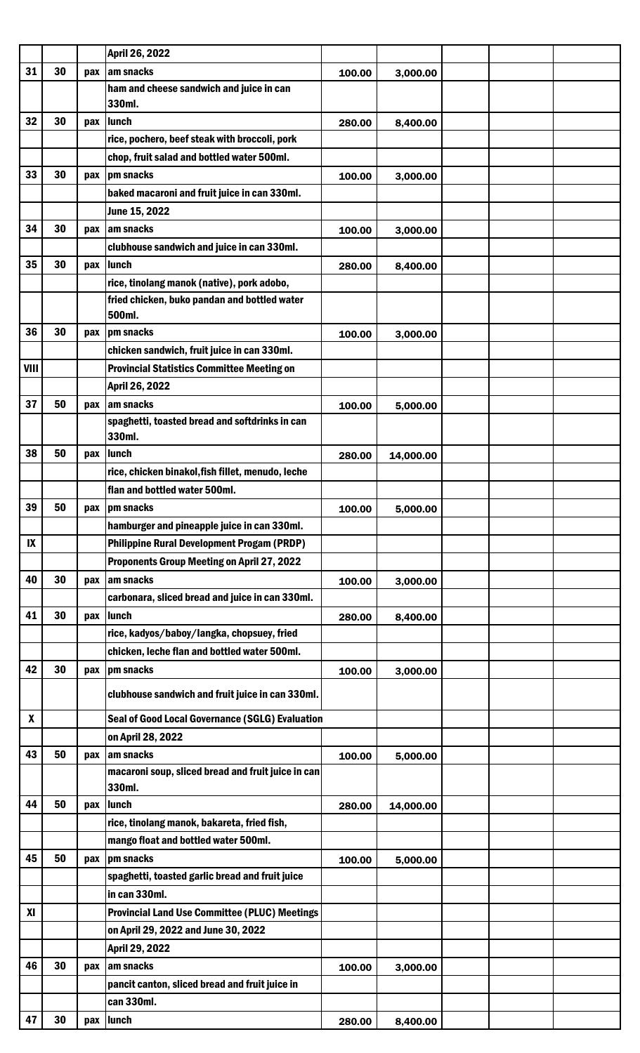|                  |    |     | April 26, 2022                                               |        |           |  |  |
|------------------|----|-----|--------------------------------------------------------------|--------|-----------|--|--|
| 31               | 30 | pax | am snacks                                                    | 100.00 | 3,000.00  |  |  |
|                  |    |     | ham and cheese sandwich and juice in can<br>330ml.           |        |           |  |  |
| 32               | 30 | pax | lunch                                                        | 280.00 | 8,400.00  |  |  |
|                  |    |     | rice, pochero, beef steak with broccoli, pork                |        |           |  |  |
|                  |    |     | chop, fruit salad and bottled water 500ml.                   |        |           |  |  |
| 33               | 30 | pax | pm snacks                                                    | 100.00 | 3,000.00  |  |  |
|                  |    |     | baked macaroni and fruit juice in can 330ml.                 |        |           |  |  |
|                  |    |     | June 15, 2022                                                |        |           |  |  |
| 34               | 30 | pax | am snacks                                                    | 100.00 | 3,000.00  |  |  |
|                  |    |     | clubhouse sandwich and juice in can 330ml.                   |        |           |  |  |
| 35               | 30 | pax | lunch                                                        | 280.00 | 8,400.00  |  |  |
|                  |    |     | rice, tinolang manok (native), pork adobo,                   |        |           |  |  |
|                  |    |     | fried chicken, buko pandan and bottled water                 |        |           |  |  |
|                  |    |     | 500ml.                                                       |        |           |  |  |
| 36               | 30 | pax | pm snacks                                                    | 100.00 | 3,000.00  |  |  |
|                  |    |     | chicken sandwich, fruit juice in can 330ml.                  |        |           |  |  |
| VIII             |    |     | <b>Provincial Statistics Committee Meeting on</b>            |        |           |  |  |
|                  |    |     | April 26, 2022                                               |        |           |  |  |
| 37               | 50 | pax | am snacks                                                    | 100.00 | 5,000.00  |  |  |
|                  |    |     | spaghetti, toasted bread and softdrinks in can<br>330ml.     |        |           |  |  |
| 38               | 50 | pax | lunch                                                        | 280.00 | 14,000.00 |  |  |
|                  |    |     | rice, chicken binakol, fish fillet, menudo, leche            |        |           |  |  |
|                  |    |     | flan and bottled water 500ml.                                |        |           |  |  |
| 39               | 50 |     | pax   pm snacks                                              | 100.00 | 5,000.00  |  |  |
|                  |    |     | hamburger and pineapple juice in can 330ml.                  |        |           |  |  |
| $\mathbf{I}$     |    |     | <b>Philippine Rural Development Progam (PRDP)</b>            |        |           |  |  |
|                  |    |     | <b>Proponents Group Meeting on April 27, 2022</b>            |        |           |  |  |
| 40               | 30 | pax | am snacks                                                    | 100.00 | 3,000.00  |  |  |
|                  |    |     | carbonara, sliced bread and juice in can 330ml.              |        |           |  |  |
| 41               | 30 | pax | lunch                                                        | 280.00 | 8,400.00  |  |  |
|                  |    |     | rice, kadyos/baboy/langka, chopsuey, fried                   |        |           |  |  |
|                  |    |     | chicken, leche flan and bottled water 500ml.                 |        |           |  |  |
| 42               | 30 | pax | pm snacks                                                    | 100.00 | 3,000.00  |  |  |
|                  |    |     | clubhouse sandwich and fruit juice in can 330ml.             |        |           |  |  |
| $\boldsymbol{x}$ |    |     | <b>Seal of Good Local Governance (SGLG) Evaluation</b>       |        |           |  |  |
|                  |    |     | on April 28, 2022                                            |        |           |  |  |
| 43               | 50 | pax | am snacks                                                    | 100.00 | 5,000.00  |  |  |
|                  |    |     | macaroni soup, sliced bread and fruit juice in can<br>330ml. |        |           |  |  |
| 44               | 50 | pax | lunch                                                        | 280.00 | 14,000.00 |  |  |
|                  |    |     | rice, tinolang manok, bakareta, fried fish,                  |        |           |  |  |
|                  |    |     | mango float and bottled water 500ml.                         |        |           |  |  |
| 45               | 50 | pax | pm snacks                                                    | 100.00 | 5,000.00  |  |  |
|                  |    |     | spaghetti, toasted garlic bread and fruit juice              |        |           |  |  |
|                  |    |     | in can 330ml.                                                |        |           |  |  |
| XI               |    |     | <b>Provincial Land Use Committee (PLUC) Meetings</b>         |        |           |  |  |
|                  |    |     | on April 29, 2022 and June 30, 2022                          |        |           |  |  |
|                  |    |     | April 29, 2022                                               |        |           |  |  |
| 46               | 30 | pax | am snacks                                                    | 100.00 | 3,000.00  |  |  |
|                  |    |     | pancit canton, sliced bread and fruit juice in               |        |           |  |  |
|                  |    |     | can 330ml.                                                   |        |           |  |  |
| 47               | 30 |     | pax lunch                                                    | 280.00 | 8,400.00  |  |  |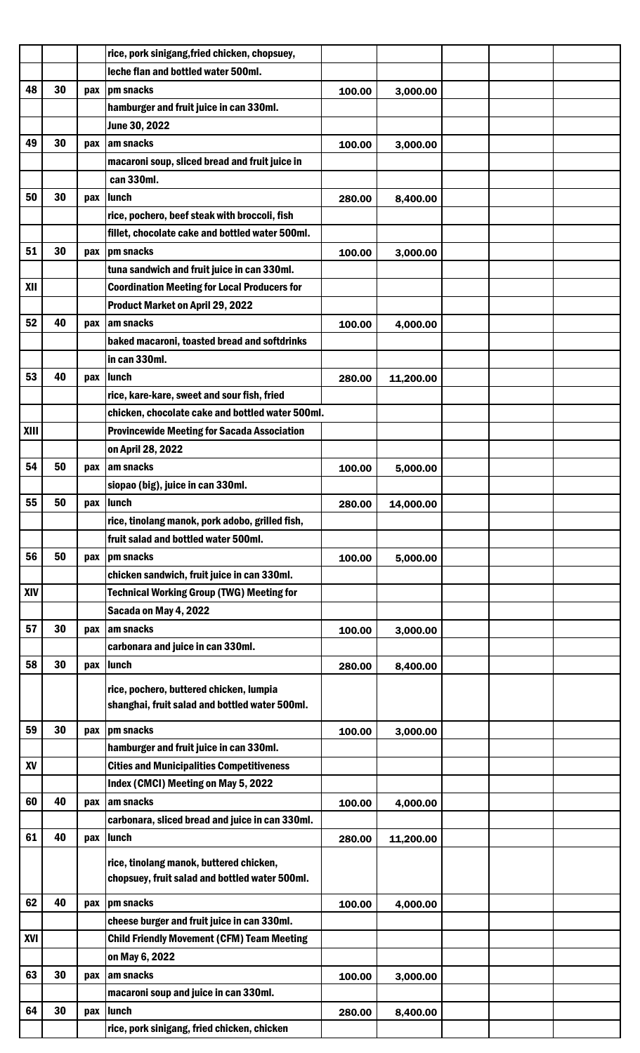|             |    |     | rice, pork sinigang, fried chicken, chopsuey,       |        |           |  |  |
|-------------|----|-----|-----------------------------------------------------|--------|-----------|--|--|
|             |    |     | leche flan and bottled water 500ml.                 |        |           |  |  |
| 48          | 30 | pax | pm snacks                                           | 100.00 | 3,000.00  |  |  |
|             |    |     | hamburger and fruit juice in can 330ml.             |        |           |  |  |
|             |    |     | June 30, 2022                                       |        |           |  |  |
| 49          | 30 | pax | am snacks                                           | 100.00 | 3,000.00  |  |  |
|             |    |     | macaroni soup, sliced bread and fruit juice in      |        |           |  |  |
|             |    |     | can 330ml.                                          |        |           |  |  |
| 50          | 30 | pax | lunch                                               | 280.00 | 8,400.00  |  |  |
|             |    |     | rice, pochero, beef steak with broccoli, fish       |        |           |  |  |
|             |    |     | fillet, chocolate cake and bottled water 500ml.     |        |           |  |  |
| 51          | 30 | pax | pm snacks                                           | 100.00 | 3,000.00  |  |  |
|             |    |     | tuna sandwich and fruit juice in can 330ml.         |        |           |  |  |
| XII         |    |     | <b>Coordination Meeting for Local Producers for</b> |        |           |  |  |
|             |    |     | Product Market on April 29, 2022                    |        |           |  |  |
| 52          | 40 | pax | am snacks                                           | 100.00 | 4,000.00  |  |  |
|             |    |     | baked macaroni, toasted bread and softdrinks        |        |           |  |  |
|             |    |     | in can 330ml.                                       |        |           |  |  |
| 53          | 40 | pax | lunch                                               | 280.00 | 11,200.00 |  |  |
|             |    |     | rice, kare-kare, sweet and sour fish, fried         |        |           |  |  |
|             |    |     | chicken, chocolate cake and bottled water 500ml.    |        |           |  |  |
| <b>XIII</b> |    |     | <b>Provincewide Meeting for Sacada Association</b>  |        |           |  |  |
|             |    |     | on April 28, 2022                                   |        |           |  |  |
| 54          | 50 | pax | am snacks                                           | 100.00 | 5,000.00  |  |  |
|             |    |     | siopao (big), juice in can 330ml.                   |        |           |  |  |
| 55          | 50 |     | pax lunch                                           | 280.00 | 14,000.00 |  |  |
|             |    |     | rice, tinolang manok, pork adobo, grilled fish,     |        |           |  |  |
|             |    |     | fruit salad and bottled water 500ml.                |        |           |  |  |
| 56          | 50 | pax | pm snacks                                           | 100.00 | 5,000.00  |  |  |
|             |    |     | chicken sandwich, fruit juice in can 330ml.         |        |           |  |  |
| <b>XIV</b>  |    |     | <b>Technical Working Group (TWG) Meeting for</b>    |        |           |  |  |
|             |    |     | Sacada on May 4, 2022                               |        |           |  |  |
| 57          | 30 | pax | am snacks                                           | 100.00 | 3,000.00  |  |  |
|             |    |     | carbonara and juice in can 330ml.                   |        |           |  |  |
| 58          | 30 | pax | lunch                                               | 280.00 | 8,400.00  |  |  |
|             |    |     |                                                     |        |           |  |  |
|             |    |     | rice, pochero, buttered chicken, lumpia             |        |           |  |  |
|             |    |     | shanghai, fruit salad and bottled water 500ml.      |        |           |  |  |
| 59          | 30 | pax | pm snacks                                           | 100.00 | 3,000.00  |  |  |
|             |    |     | hamburger and fruit juice in can 330ml.             |        |           |  |  |
| XV          |    |     | <b>Cities and Municipalities Competitiveness</b>    |        |           |  |  |
|             |    |     | Index (CMCI) Meeting on May 5, 2022                 |        |           |  |  |
| 60          | 40 | pax | am snacks                                           | 100.00 | 4,000.00  |  |  |
|             |    |     | carbonara, sliced bread and juice in can 330ml.     |        |           |  |  |
| 61          | 40 | pax | lunch                                               | 280.00 | 11,200.00 |  |  |
|             |    |     | rice, tinolang manok, buttered chicken,             |        |           |  |  |
|             |    |     | chopsuey, fruit salad and bottled water 500ml.      |        |           |  |  |
|             |    |     |                                                     |        |           |  |  |
| 62          | 40 | pax | pm snacks                                           | 100.00 | 4,000.00  |  |  |
|             |    |     | cheese burger and fruit juice in can 330ml.         |        |           |  |  |
| XVI         |    |     | <b>Child Friendly Movement (CFM) Team Meeting</b>   |        |           |  |  |
|             |    |     | on May 6, 2022                                      |        |           |  |  |
| 63          | 30 |     | pax am snacks                                       | 100.00 | 3,000.00  |  |  |
|             |    |     | macaroni soup and juice in can 330ml.               |        |           |  |  |
| 64          | 30 | pax | lunch                                               | 280.00 | 8,400.00  |  |  |
|             |    |     | rice, pork sinigang, fried chicken, chicken         |        |           |  |  |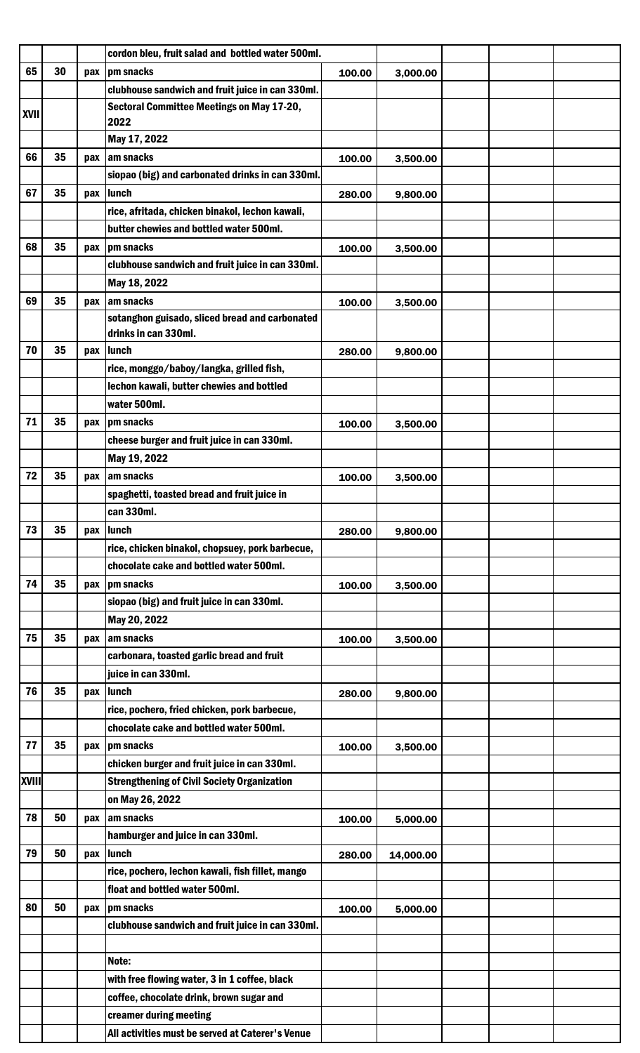|              |    |     | cordon bleu, fruit salad and bottled water 500ml.                      |        |           |  |  |
|--------------|----|-----|------------------------------------------------------------------------|--------|-----------|--|--|
| 65           | 30 |     | pax   pm snacks                                                        | 100.00 | 3,000.00  |  |  |
|              |    |     | clubhouse sandwich and fruit juice in can 330ml.                       |        |           |  |  |
|              |    |     | Sectoral Committee Meetings on May 17-20,                              |        |           |  |  |
| <b>XVII</b>  |    |     | 2022                                                                   |        |           |  |  |
|              |    |     | May 17, 2022                                                           |        |           |  |  |
| 66           | 35 | pax | am snacks                                                              | 100.00 | 3,500.00  |  |  |
|              |    |     | siopao (big) and carbonated drinks in can 330ml.                       |        |           |  |  |
| 67           | 35 |     | pax lunch                                                              | 280.00 | 9,800.00  |  |  |
|              |    |     | rice, afritada, chicken binakol, lechon kawali,                        |        |           |  |  |
|              |    |     | butter chewies and bottled water 500ml.                                |        |           |  |  |
| 68           | 35 | pax | pm snacks                                                              | 100.00 | 3,500.00  |  |  |
|              |    |     | clubhouse sandwich and fruit juice in can 330ml.                       |        |           |  |  |
|              |    |     | May 18, 2022                                                           |        |           |  |  |
| 69           | 35 | pax | am snacks                                                              | 100.00 | 3,500.00  |  |  |
|              |    |     | sotanghon guisado, sliced bread and carbonated<br>drinks in can 330ml. |        |           |  |  |
| 70           | 35 |     |                                                                        |        |           |  |  |
|              |    | pax | <b>Ilunch</b><br>rice, monggo/baboy/langka, grilled fish,              | 280.00 | 9,800.00  |  |  |
|              |    |     |                                                                        |        |           |  |  |
|              |    |     | lechon kawali, butter chewies and bottled                              |        |           |  |  |
|              |    |     | water 500ml.                                                           |        |           |  |  |
| 71           | 35 | pax | pm snacks                                                              | 100.00 | 3,500.00  |  |  |
|              |    |     | cheese burger and fruit juice in can 330ml.                            |        |           |  |  |
|              |    |     | May 19, 2022                                                           |        |           |  |  |
| 72           | 35 | pax | am snacks                                                              | 100.00 | 3,500.00  |  |  |
|              |    |     | spaghetti, toasted bread and fruit juice in                            |        |           |  |  |
|              |    |     | can 330ml.                                                             |        |           |  |  |
| 73           | 35 | pax | lunch                                                                  | 280.00 | 9,800.00  |  |  |
|              |    |     | rice, chicken binakol, chopsuey, pork barbecue,                        |        |           |  |  |
|              |    |     | chocolate cake and bottled water 500ml.                                |        |           |  |  |
| 74           | 35 |     | pax   pm snacks                                                        | 100.00 | 3,500.00  |  |  |
|              |    |     | siopao (big) and fruit juice in can 330ml.                             |        |           |  |  |
|              |    |     | May 20, 2022                                                           |        |           |  |  |
| 75           | 35 | pax | am snacks                                                              | 100.00 | 3,500.00  |  |  |
|              |    |     | carbonara, toasted garlic bread and fruit                              |        |           |  |  |
|              |    |     | juice in can 330ml.                                                    |        |           |  |  |
| 76           | 35 | pax | lunch                                                                  | 280.00 | 9,800.00  |  |  |
|              |    |     | rice, pochero, fried chicken, pork barbecue,                           |        |           |  |  |
|              |    |     | chocolate cake and bottled water 500ml.                                |        |           |  |  |
| 77           | 35 |     | pax   pm snacks                                                        | 100.00 | 3,500.00  |  |  |
|              |    |     | chicken burger and fruit juice in can 330ml.                           |        |           |  |  |
| <b>XVIII</b> |    |     | <b>Strengthening of Civil Society Organization</b>                     |        |           |  |  |
|              |    |     | on May 26, 2022                                                        |        |           |  |  |
| 78           | 50 | pax | am snacks                                                              | 100.00 | 5,000.00  |  |  |
|              |    |     | hamburger and juice in can 330ml.                                      |        |           |  |  |
| 79           | 50 | pax | lunch                                                                  | 280.00 | 14,000.00 |  |  |
|              |    |     | rice, pochero, lechon kawali, fish fillet, mango                       |        |           |  |  |
|              |    |     | float and bottled water 500ml.                                         |        |           |  |  |
| 80           | 50 | pax | pm snacks                                                              | 100.00 | 5,000.00  |  |  |
|              |    |     | clubhouse sandwich and fruit juice in can 330ml.                       |        |           |  |  |
|              |    |     |                                                                        |        |           |  |  |
|              |    |     | Note:                                                                  |        |           |  |  |
|              |    |     | with free flowing water, 3 in 1 coffee, black                          |        |           |  |  |
|              |    |     | coffee, chocolate drink, brown sugar and                               |        |           |  |  |
|              |    |     | creamer during meeting                                                 |        |           |  |  |
|              |    |     | All activities must be served at Caterer's Venue                       |        |           |  |  |